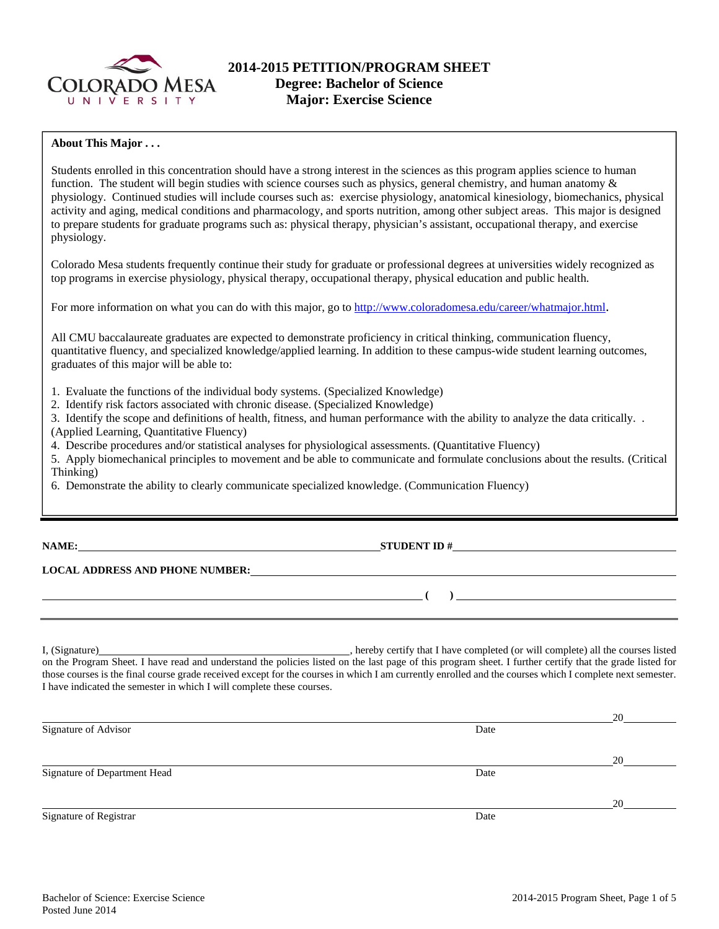

## **About This Major . . .**

Students enrolled in this concentration should have a strong interest in the sciences as this program applies science to human function. The student will begin studies with science courses such as physics, general chemistry, and human anatomy  $\&$ physiology. Continued studies will include courses such as: exercise physiology, anatomical kinesiology, biomechanics, physical activity and aging, medical conditions and pharmacology, and sports nutrition, among other subject areas. This major is designed to prepare students for graduate programs such as: physical therapy, physician's assistant, occupational therapy, and exercise physiology.

Colorado Mesa students frequently continue their study for graduate or professional degrees at universities widely recognized as top programs in exercise physiology, physical therapy, occupational therapy, physical education and public health.

For more information on what you can do with this major, go to http://www.coloradomesa.edu/career/whatmajor.html.

All CMU baccalaureate graduates are expected to demonstrate proficiency in critical thinking, communication fluency, quantitative fluency, and specialized knowledge/applied learning. In addition to these campus-wide student learning outcomes, graduates of this major will be able to:

1. Evaluate the functions of the individual body systems. (Specialized Knowledge)

2. Identify risk factors associated with chronic disease. (Specialized Knowledge)

3. Identify the scope and definitions of health, fitness, and human performance with the ability to analyze the data critically. . (Applied Learning, Quantitative Fluency)

4. Describe procedures and/or statistical analyses for physiological assessments. (Quantitative Fluency)

5. Apply biomechanical principles to movement and be able to communicate and formulate conclusions about the results. (Critical Thinking)

6. Demonstrate the ability to clearly communicate specialized knowledge. (Communication Fluency)

**NAME: STUDENT ID #** 

 **( )** 

# **LOCAL ADDRESS AND PHONE NUMBER:**

I, (Signature) **Source 2008** (Signature) **and Source 2018** (Signature 2018) (Signature 2018) (Signature 2018) (Signature 2018) (Signature 2018) (Signature 2018) (Signature 2018) (Signature 2018) (Signature 2018) (Signature on the Program Sheet. I have read and understand the policies listed on the last page of this program sheet. I further certify that the grade listed for those courses is the final course grade received except for the courses in which I am currently enrolled and the courses which I complete next semester. I have indicated the semester in which I will complete these courses.

|                              |      | 20 |
|------------------------------|------|----|
| Signature of Advisor         | Date |    |
|                              |      | 20 |
| Signature of Department Head | Date |    |
|                              |      | 20 |
| Signature of Registrar       | Date |    |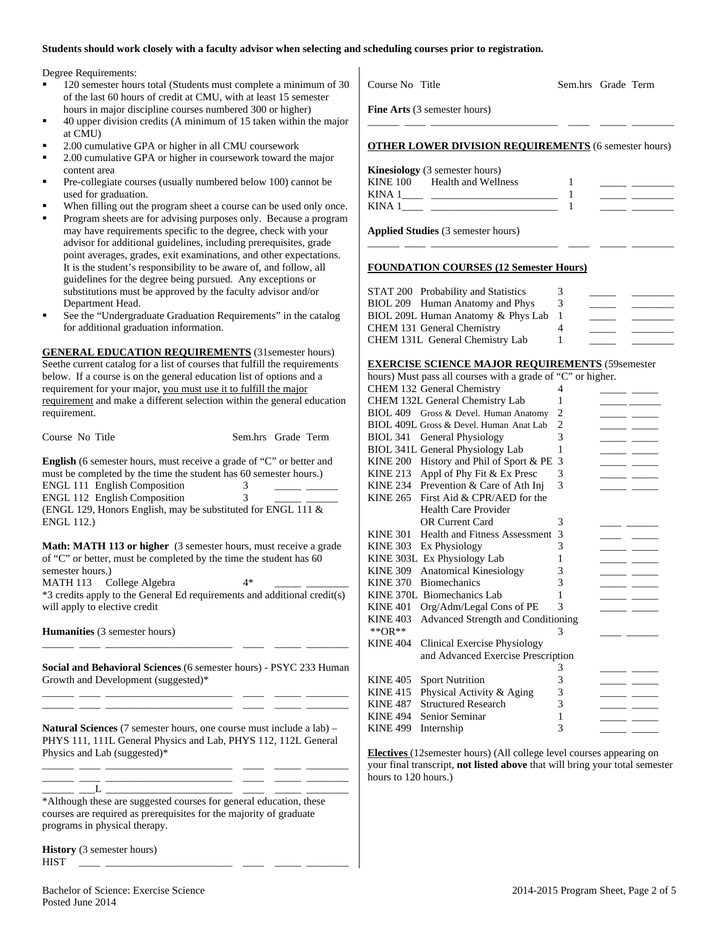#### **Students should work closely with a faculty advisor when selecting and scheduling courses prior to registration.**

Degree Requirements:

- 120 semester hours total (Students must complete a minimum of 30 of the last 60 hours of credit at CMU, with at least 15 semester hours in major discipline courses numbered 300 or higher)
- 40 upper division credits (A minimum of 15 taken within the major at CMU)
- 2.00 cumulative GPA or higher in all CMU coursework
- 2.00 cumulative GPA or higher in coursework toward the major content area
- Pre-collegiate courses (usually numbered below 100) cannot be used for graduation.
- When filling out the program sheet a course can be used only once.
- Program sheets are for advising purposes only. Because a program may have requirements specific to the degree, check with your advisor for additional guidelines, including prerequisites, grade point averages, grades, exit examinations, and other expectations. It is the student's responsibility to be aware of, and follow, all guidelines for the degree being pursued. Any exceptions or substitutions must be approved by the faculty advisor and/or Department Head.
- See the "Undergraduate Graduation Requirements" in the catalog for additional graduation information.

**GENERAL EDUCATION REQUIREMENTS** (31semester hours) Seethe current catalog for a list of courses that fulfill the requirements below. If a course is on the general education list of options and a requirement for your major, you must use it to fulfill the major requirement and make a different selection within the general education requirement.

| Course No Title                                                                                                                                  | Sem.hrs Grade Term |
|--------------------------------------------------------------------------------------------------------------------------------------------------|--------------------|
| <b>English</b> (6 semester hours, must receive a grade of "C" or better and<br>must be completed by the time the student has 60 semester hours.) |                    |
| ENGL 111 English Composition                                                                                                                     | 3                  |
| <b>ENGL 112 English Composition</b>                                                                                                              | 3                  |
| (ENGL 129, Honors English, may be substituted for ENGL 111 $\&$                                                                                  |                    |
| <b>ENGL 112.)</b>                                                                                                                                |                    |

**Math: MATH 113 or higher** (3 semester hours, must receive a grade of "C" or better, must be completed by the time the student has 60 semester hours.) MATH 113 College Algebra 4\*

\*3 credits apply to the General Ed requirements and additional credit(s) will apply to elective credit

**Humanities** (3 semester hours)

**Social and Behavioral Sciences** (6 semester hours) - PSYC 233 Human Growth and Development (suggested)\* \_\_\_\_\_\_ \_\_\_\_ \_\_\_\_\_\_\_\_\_\_\_\_\_\_\_\_\_\_\_\_\_\_\_\_ \_\_\_\_ \_\_\_\_\_ \_\_\_\_\_\_\_\_

\_\_\_\_\_\_ \_\_\_\_ \_\_\_\_\_\_\_\_\_\_\_\_\_\_\_\_\_\_\_\_\_\_\_\_ \_\_\_\_ \_\_\_\_\_ \_\_\_\_\_\_\_\_

\_\_\_\_\_\_ \_\_\_\_ \_\_\_\_\_\_\_\_\_\_\_\_\_\_\_\_\_\_\_\_\_\_\_\_ \_\_\_\_ \_\_\_\_\_ \_\_\_\_\_\_\_\_

**Natural Sciences** (7 semester hours, one course must include a lab) – PHYS 111, 111L General Physics and Lab, PHYS 112, 112L General Physics and Lab (suggested)\*

\_\_\_\_\_\_ \_\_\_\_ \_\_\_\_\_\_\_\_\_\_\_\_\_\_\_\_\_\_\_\_\_\_\_\_ \_\_\_\_ \_\_\_\_\_ \_\_\_\_\_\_\_\_ \_\_\_\_\_\_ \_\_\_\_ \_\_\_\_\_\_\_\_\_\_\_\_\_\_\_\_\_\_\_\_\_\_\_\_ \_\_\_\_ \_\_\_\_\_ \_\_\_\_\_\_\_\_

\_\_\_\_\_\_ \_\_\_L \_\_\_\_\_\_\_\_\_\_\_\_\_\_\_\_\_\_\_\_\_\_\_\_ \_\_\_\_ \_\_\_\_\_ \_\_\_\_\_\_\_\_ \*Although these are suggested courses for general education, these courses are required as prerequisites for the majority of graduate programs in physical therapy.

**History** (3 semester hours) HIST \_\_\_\_ \_\_\_\_\_\_\_\_\_\_\_\_\_\_\_\_\_\_\_\_\_\_\_\_ \_\_\_\_ \_\_\_\_\_ \_\_\_\_\_\_\_\_

\_\_\_\_\_\_ \_\_\_\_ \_\_\_\_\_\_\_\_\_\_\_\_\_\_\_\_\_\_\_\_\_\_\_\_ \_\_\_\_ \_\_\_\_\_ \_\_\_\_\_\_\_\_ **OTHER LOWER DIVISION REQUIREMENTS** (6 semester hours) **Kinesiology** (3 semester hours) KINE 100 Health and Wellness 1 KINA  $1 \qquad \qquad$   $1 \qquad \qquad$ KINA  $1 \qquad \qquad$   $\qquad \qquad$   $\qquad \qquad$   $\qquad$   $\qquad$   $\qquad \qquad$   $\qquad$   $\qquad$   $\qquad$   $\qquad$   $\qquad$   $\qquad$   $\qquad$   $\qquad$   $\qquad$   $\qquad$   $\qquad$   $\qquad$   $\qquad$   $\qquad$   $\qquad$   $\qquad$   $\qquad$   $\qquad$   $\qquad$   $\qquad$   $\qquad$   $\qquad$   $\qquad$   $\qquad$   $\qquad$   $\qquad$   $\qquad$   $\qquad$ **Applied Studies** (3 semester hours)

Course No Title Sem.hrs Grade Term

\_\_\_\_\_\_ \_\_\_\_ \_\_\_\_\_\_\_\_\_\_\_\_\_\_\_\_\_\_\_\_\_\_\_\_ \_\_\_\_ \_\_\_\_\_ \_\_\_\_\_\_\_\_

**Fine Arts** (3 semester hours)

#### **FOUNDATION COURSES (12 Semester Hours)**

| STAT 200 Probability and Statistics | 3 |  |
|-------------------------------------|---|--|
| BIOL 209 Human Anatomy and Phys     |   |  |
| BIOL 209L Human Anatomy & Phys Lab  |   |  |
| CHEM 131 General Chemistry          |   |  |
| CHEM 131L General Chemistry Lab     |   |  |

#### **EXERCISE SCIENCE MAJOR REQUIREMENTS** (59semester

|                 | hours) Must pass all courses with a grade of "C" or higher. |   |     |
|-----------------|-------------------------------------------------------------|---|-----|
|                 | CHEM 132 General Chemistry                                  | 4 |     |
|                 | CHEM 132L General Chemistry Lab                             | 1 |     |
|                 | BIOL 409 Gross & Devel. Human Anatomy                       | 2 |     |
|                 | BIOL 409L Gross & Devel. Human Anat Lab                     | 2 |     |
| <b>BIOL 341</b> | <b>General Physiology</b>                                   | 3 |     |
|                 | BIOL 341L General Physiology Lab                            | 1 |     |
|                 | KINE 200 History and Phil of Sport & PE                     | 3 |     |
| <b>KINE 213</b> | Appl of Phy Fit & Ex Presc                                  | 3 |     |
| <b>KINE 234</b> | Prevention & Care of Ath Inj                                | 3 |     |
| <b>KINE 265</b> | First Aid & CPR/AED for the                                 |   |     |
|                 | <b>Health Care Provider</b>                                 |   |     |
|                 | <b>OR Current Card</b>                                      | 3 |     |
| <b>KINE 301</b> | Health and Fitness Assessment                               | 3 |     |
| <b>KINE 303</b> | Ex Physiology                                               | 3 |     |
|                 | KINE 303L Ex Physiology Lab                                 | 1 |     |
| <b>KINE 309</b> | <b>Anatomical Kinesiology</b>                               | 3 |     |
| <b>KINE 370</b> | <b>Biomechanics</b>                                         | 3 |     |
|                 | KINE 370L Biomechanics Lab                                  | 1 |     |
| <b>KINE 401</b> | Org/Adm/Legal Cons of PE                                    | 3 |     |
| <b>KINE 403</b> | Advanced Strength and Conditioning                          |   |     |
| ** $OR**$       |                                                             | 3 |     |
| <b>KINE 404</b> | Clinical Exercise Physiology                                |   |     |
|                 | and Advanced Exercise Prescription                          |   |     |
|                 |                                                             | 3 |     |
| <b>KINE 405</b> | <b>Sport Nutrition</b>                                      | 3 |     |
| <b>KINE 415</b> | Physical Activity & Aging                                   | 3 |     |
| <b>KINE 487</b> | <b>Structured Research</b>                                  | 3 |     |
| <b>KINE 494</b> | Senior Seminar                                              | 1 |     |
| <b>KINE 499</b> | Internship                                                  | 3 | ___ |

**Electives** (12semester hours) (All college level courses appearing on your final transcript, **not listed above** that will bring your total semester hours to 120 hours.)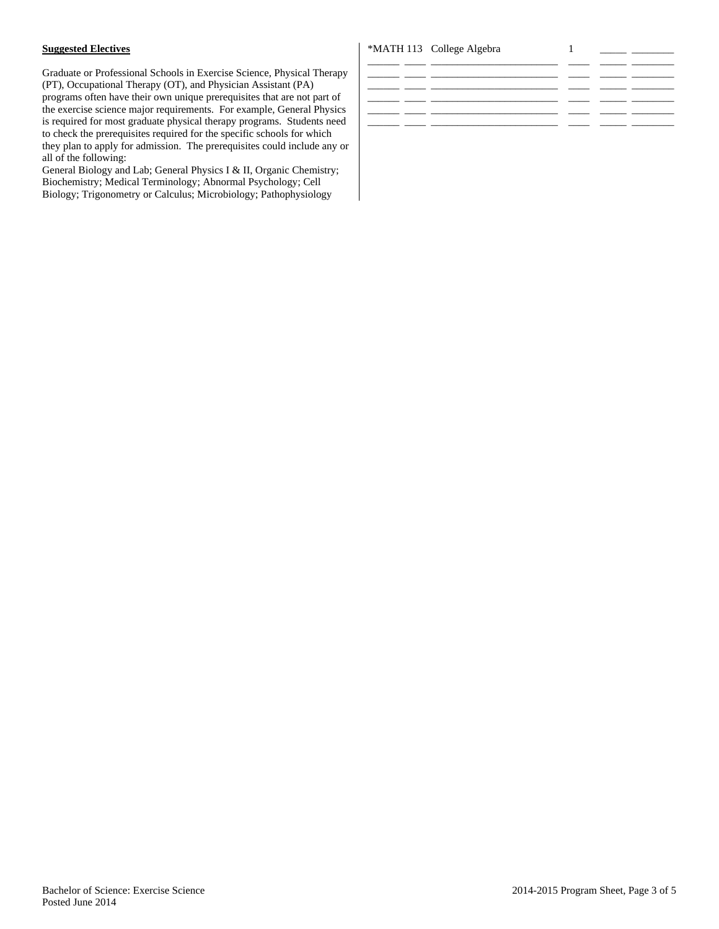## **Suggested Electives**

Graduate or Professional Schools in Exercise Science, Physical Therapy (PT), Occupational Therapy (OT), and Physician Assistant (PA) programs often have their own unique prerequisites that are not part of the exercise science major requirements. For example, General Physics is required for most graduate physical therapy programs. Students need to check the prerequisites required for the specific schools for which they plan to apply for admission. The prerequisites could include any or all of the following:

General Biology and Lab; General Physics I & II, Organic Chemistry; Biochemistry; Medical Terminology; Abnormal Psychology; Cell Biology; Trigonometry or Calculus; Microbiology; Pathophysiology

## \*MATH 113 College Algebra 1

| _______ | _____ |  |  |
|---------|-------|--|--|
|         |       |  |  |
|         |       |  |  |
|         |       |  |  |
|         |       |  |  |
|         |       |  |  |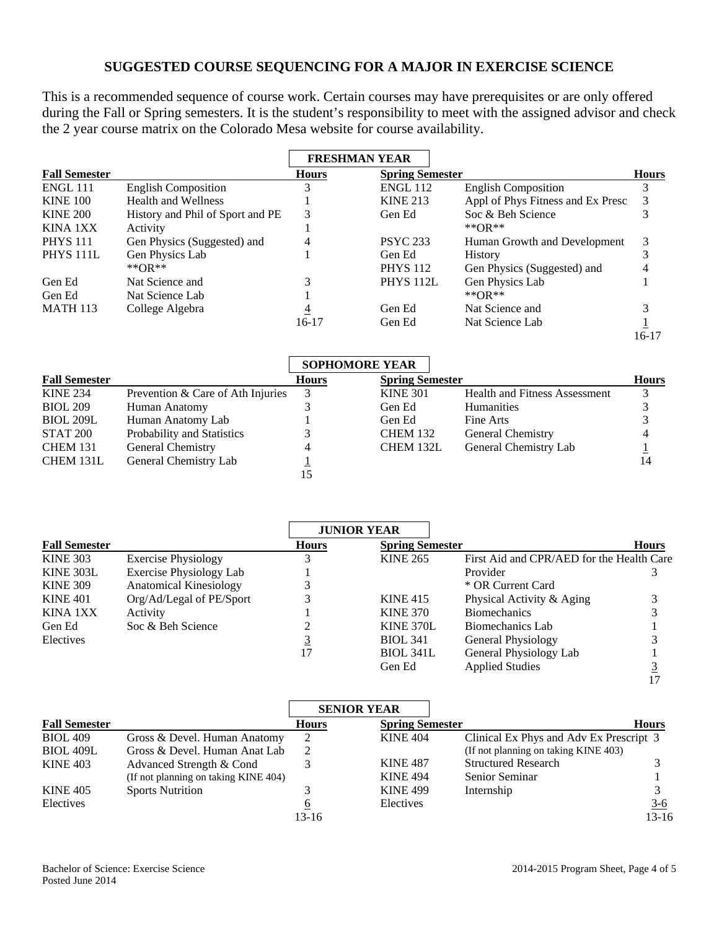## **SUGGESTED COURSE SEQUENCING FOR A MAJOR IN EXERCISE SCIENCE**

This is a recommended sequence of course work. Certain courses may have prerequisites or are only offered during the Fall or Spring semesters. It is the student's responsibility to meet with the assigned advisor and check the 2 year course matrix on the Colorado Mesa website for course availability.

|                      |                                  |              | <b>FRESHMAN YEAR</b>   |                                   |              |
|----------------------|----------------------------------|--------------|------------------------|-----------------------------------|--------------|
| <b>Fall Semester</b> |                                  | <b>Hours</b> | <b>Spring Semester</b> |                                   | <b>Hours</b> |
| <b>ENGL 111</b>      | <b>English Composition</b>       |              | <b>ENGL 112</b>        | <b>English Composition</b>        |              |
| <b>KINE 100</b>      | <b>Health and Wellness</b>       |              | <b>KINE 213</b>        | Appl of Phys Fitness and Ex Presc |              |
| <b>KINE 200</b>      | History and Phil of Sport and PE |              | Gen Ed                 | Soc & Beh Science                 |              |
| KINA 1XX             | Activity                         |              |                        | ** $OR$ **                        |              |
| <b>PHYS 111</b>      | Gen Physics (Suggested) and      |              | <b>PSYC 233</b>        | Human Growth and Development      | 3            |
| PHYS <sub>111L</sub> | Gen Physics Lab                  |              | Gen Ed                 | <b>History</b>                    |              |
|                      | ** $OR$ **                       |              | <b>PHYS</b> 112        | Gen Physics (Suggested) and       |              |
| Gen Ed               | Nat Science and                  |              | <b>PHYS 112L</b>       | Gen Physics Lab                   |              |
| Gen Ed               | Nat Science Lab                  |              |                        | ** $OR$ **                        |              |
| <b>MATH 113</b>      | College Algebra                  |              | Gen Ed                 | Nat Science and                   |              |
|                      |                                  | 16-17        | Gen Ed                 | Nat Science Lab                   |              |

|                      |                                   | <b>SOPHOMORE YEAR</b> |                        |                                      |              |
|----------------------|-----------------------------------|-----------------------|------------------------|--------------------------------------|--------------|
| <b>Fall Semester</b> |                                   | <b>Hours</b>          | <b>Spring Semester</b> |                                      | <b>Hours</b> |
| <b>KINE 234</b>      | Prevention & Care of Ath Injuries | 3                     | <b>KINE 301</b>        | <b>Health and Fitness Assessment</b> |              |
| <b>BIOL 209</b>      | Human Anatomy                     |                       | Gen Ed                 | <b>Humanities</b>                    |              |
| <b>BIOL 209L</b>     | Human Anatomy Lab                 |                       | Gen Ed                 | Fine Arts                            |              |
| STAT 200             | Probability and Statistics        |                       | <b>CHEM 132</b>        | <b>General Chemistry</b>             |              |
| <b>CHEM 131</b>      | General Chemistry                 | 4                     | CHEM 132L              | General Chemistry Lab                |              |
| CHEM 131L            | General Chemistry Lab             |                       |                        |                                      | 14           |
|                      |                                   |                       |                        |                                      |              |

|                      |                                |              | <b>JUNIOR YEAR</b>     |                                           |              |
|----------------------|--------------------------------|--------------|------------------------|-------------------------------------------|--------------|
| <b>Fall Semester</b> |                                | <b>Hours</b> | <b>Spring Semester</b> |                                           | <b>Hours</b> |
| <b>KINE 303</b>      | <b>Exercise Physiology</b>     |              | <b>KINE 265</b>        | First Aid and CPR/AED for the Health Care |              |
| KINE 303L            | <b>Exercise Physiology Lab</b> |              |                        | Provider                                  |              |
| <b>KINE 309</b>      | <b>Anatomical Kinesiology</b>  |              |                        | * OR Current Card                         |              |
| <b>KINE 401</b>      | Org/Ad/Legal of PE/Sport       |              | <b>KINE 415</b>        | Physical Activity & Aging                 |              |
| KINA 1XX             | Activity                       |              | <b>KINE 370</b>        | <b>Biomechanics</b>                       |              |
| Gen Ed               | Soc & Beh Science              |              | KINE 370L              | Biomechanics Lab                          |              |
| Electives            |                                |              | <b>BIOL 341</b>        | General Physiology                        |              |
|                      |                                |              | BIOL 341L              | General Physiology Lab                    |              |
|                      |                                |              | Gen Ed                 | <b>Applied Studies</b>                    |              |

|                      |                                      |              | <b>SENIOR YEAR</b>     |                                         |              |
|----------------------|--------------------------------------|--------------|------------------------|-----------------------------------------|--------------|
| <b>Fall Semester</b> |                                      | <b>Hours</b> | <b>Spring Semester</b> |                                         | <b>Hours</b> |
| <b>BIOL 409</b>      | Gross & Devel. Human Anatomy         |              | <b>KINE 404</b>        | Clinical Ex Phys and Adv Ex Prescript 3 |              |
| <b>BIOL 409L</b>     | Gross & Devel. Human Anat Lab        | 2            |                        | (If not planning on taking KINE 403)    |              |
| <b>KINE 403</b>      | Advanced Strength & Cond             |              | <b>KINE 487</b>        | <b>Structured Research</b>              |              |
|                      | (If not planning on taking KINE 404) |              | <b>KINE 494</b>        | Senior Seminar                          |              |
| <b>KINE 405</b>      | <b>Sports Nutrition</b>              |              | <b>KINE 499</b>        | Internship                              |              |
| Electives            |                                      | O            | Electives              |                                         | $3-6$        |
|                      |                                      | $13 - 16$    |                        |                                         | $13-16$      |

16-17

17